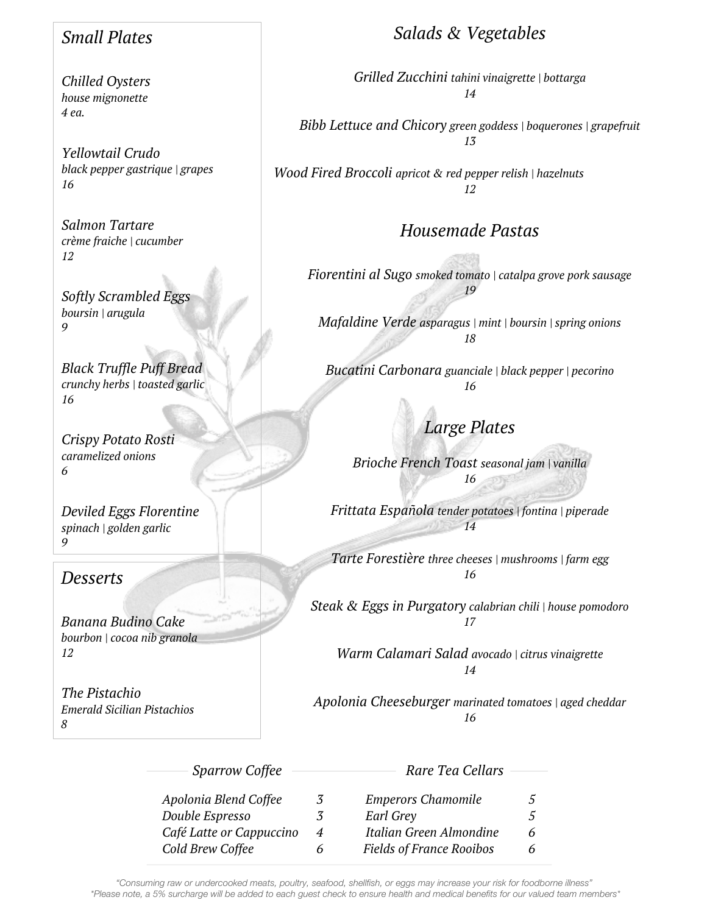# *Small Plates*

*Chilled Oysters house mignonette 4 ea.*

*Yellowtail Crudo black pepper gastrique | grapes 16*

*Salmon Tartare crème fraiche | cucumber 12*

*Softly Scrambled Eggs boursin | arugula 9*

*Black Truffle Puff Bread crunchy herbs | toasted garlic 16*

*Crispy Potato Rosti caramelized onions 6*

*Deviled Eggs Florentine spinach | golden garlic 9*

## *Desserts*

*Banana Budino Cake bourbon | cocoa nib granola 12*

*The Pistachio Emerald Sicilian Pistachios 8*

# *Salads & Vegetables*

*Grilled Zucchini tahini vinaigrette | bottarga 14*

*Bibb Lettuce and Chicory green goddess | boquerones | grapefruit 13*

*Wood Fired Broccoli apricot & red pepper relish | hazelnuts 12*

# *Housemade Pastas*

*Fiorentini al Sugo smoked tomato | catalpa grove pork sausage 19*

*Mafaldine Verde asparagus | mint | boursin | spring onions 18*

*Bucatini Carbonara guanciale | black pepper | pecorino 16*

*Large Plates*

*Brioche French Toast seasonal jam | vanilla 16*

*Frittata Española tender potatoes | fontina | piperade 14*

*Tarte Forestière three cheeses | mushrooms | farm egg 16*

*Steak & Eggs in Purgatory calabrian chili | house pomodoro 17*

*Warm Calamari Salad avocado | citrus vinaigrette 14*

*Apolonia Cheeseburger marinated tomatoes | aged cheddar 16*

| <b>Sparrow Coffee</b>    |   | Rare Tea Cellars                |   |
|--------------------------|---|---------------------------------|---|
| Apolonia Blend Coffee    | 3 | <b>Emperors Chamomile</b>       | 5 |
| Double Espresso          | 3 | Earl Grey                       | 5 |
| Café Latte or Cappuccino | 4 | Italian Green Almondine         | 6 |
| Cold Brew Coffee         |   | <b>Fields of France Rooibos</b> | 6 |

*"Consuming raw or undercooked meats, poultry, seafood, shellfish, or eggs may increase your risk for foodborne illness" \*Please note, a 5% surcharge will be added to each guest check to ensure health and medical benefits for our valued team members\**